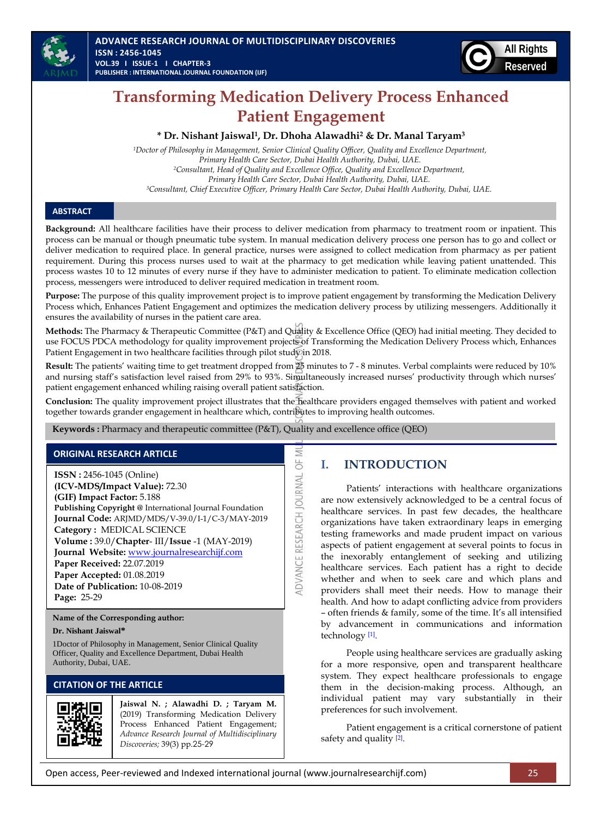



# **Transforming Medication Delivery Process Enhanced Patient Engagement**

#### **\* Dr. Nishant Jaiswal 1 , Dr. Dhoha Alawadhi<sup>2</sup> & Dr. Manal Taryam<sup>3</sup>**

*<sup>1</sup>Doctor of Philosophy in Management, Senior Clinical Quality Officer, Quality and Excellence Department, Primary Health Care Sector, Dubai Health Authority, Dubai, UAE. <sup>2</sup>Consultant, Head of Quality and Excellence Office, Quality and Excellence Department, Primary Health Care Sector, Dubai Health Authority, Dubai, UAE. <sup>3</sup>Consultant, Chief Executive Officer, Primary Health Care Sector, Dubai Health Authority, Dubai, UAE.*

#### **ABSTRACT**

**Background:** All healthcare facilities have their process to deliver medication from pharmacy to treatment room or inpatient. This process can be manual or though pneumatic tube system. In manual medication delivery process one person has to go and collect or deliver medication to required place. In general practice, nurses were assigned to collect medication from pharmacy as per patient requirement. During this process nurses used to wait at the pharmacy to get medication while leaving patient unattended. This process wastes 10 to 12 minutes of every nurse if they have to administer medication to patient. To eliminate medication collection process, messengers were introduced to deliver required medication in treatment room.

Purpose: The purpose of this quality improvement project is to improve patient engagement by transforming the Medication Delivery Process which, Enhances Patient Engagement and optimizes the medication delivery process by utilizing messengers. Additionally it ensures the availability of nurses in the patient care area.

**Methods:** The Pharmacy & Therapeutic Committee (P&T) and Quality & Excellence Office (QEO) had initial meeting. They decided to use FOCUS PDCA methodology for quality improvement projects of Transforming the Medication Delivery Process which, Enhances Patient Engagement in two healthcare facilities through pilot study in 2018.

**Result:** The patients' waiting time to get treatment dropped from 25 minutes to 7 - 8 minutes. Verbal complaints were reduced by 10% and nursing staff's satisfaction level raised from 29% to 93%. Simultaneously increased nurses' productivity through which nurses' patient engagement enhanced whiling raising overall patient satisfaction.

**Conclusion:** The quality improvement project illustrates that the healthcare providers engaged themselves with patient and worked together towards grander engagement in healthcare which, contributes to improving health outcomes.

> Ξ 5

**ADVANCE RESEARCH JOURNAL** 

**Keywords :** Pharmacy and therapeutic committee (P&T), Quality and excellence office (QEO)

## **ORIGINAL RESEARCH ARTICLE**

**ISSN :** 2456-1045 (Online) **(ICV-MDS/Impact Value):** 72.30 **(GIF) Impact Factor:** 5.188 **Publishing Copyright @** International Journal Foundation **Journal Code:** ARJMD/MDS/V-39.0/I-1/C-3/MAY-2019 **Category :** MEDICAL SCIENCE **Volume :** 39.0/**Chapter**- III/**Issue** -1 (MAY-2019) **Journal Website:** [www.journalresearchijf.com](http://www.journalresearchijf.com/) **Paper Received:** 22.07.2019 **Paper Accepted:** 01.08.2019 **Date of Publication:** 10-08-2019 **Page:** 25-29

**Name of the Corresponding author:**

#### **Dr. Nishant Jaiswal\***

1Doctor of Philosophy in Management, Senior Clinical Quality Officer, Quality and Excellence Department, Dubai Health Authority, Dubai, UAE.

## **CITATION OF THE ARTICLE**



**Jaiswal N. ; Alawadhi D. ; Taryam M.** (2019) Transforming Medication Delivery Process Enhanced Patient Engagement; *Advance Research Journal of Multidisciplinary Discoveries;* 39(3) pp.25-29

# **I. INTRODUCTION**

Patients' interactions with healthcare organizations are now extensively acknowledged to be a central focus of healthcare services. In past few decades, the healthcare organizations have taken extraordinary leaps in emerging testing frameworks and made prudent impact on various aspects of patient engagement at several points to focus in the inexorably entanglement of seeking and utilizing healthcare services. Each patient has a right to decide whether and when to seek care and which plans and providers shall meet their needs. How to manage their health. And how to adapt conflicting advice from providers – often friends & family, some of the time. It's all intensified by advancement in communications and information technology [\[1\]](#page-4-0) .

People using healthcare services are gradually asking for a more responsive, open and transparent healthcare system. They expect healthcare professionals to engage them in the decision-making process. Although, an individual patient may vary substantially in their preferences for such involvement.

Patient engagement is a critical cornerstone of patient safety and quality [\[2\]](#page-4-1).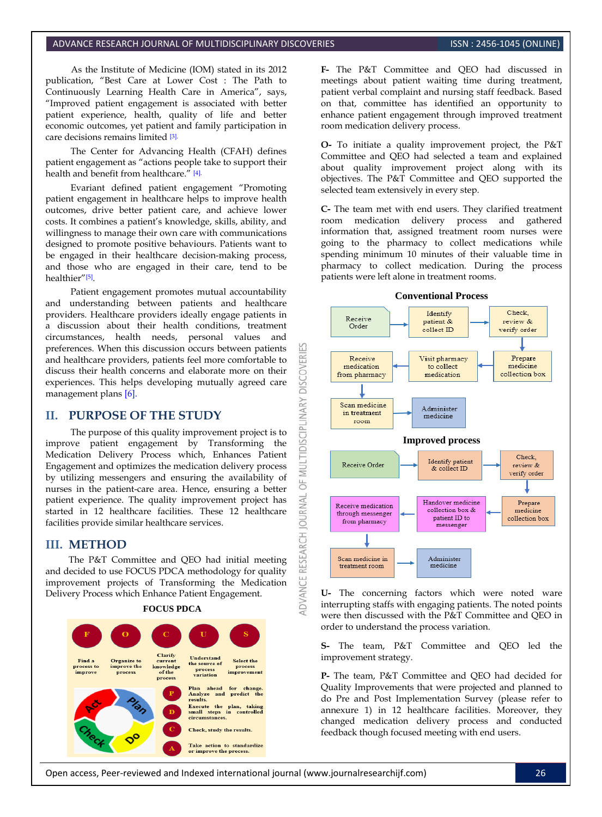#### ADVANCE RESEARCH JOURNAL OF MULTIDISCIPLINARY DISCOVERIES ISSN 1995-1045 (ONLINE)

As the Institute of Medicine (IOM) stated in its 2012 publication, "Best Care at Lower Cost : The Path to Continuously Learning Health Care in America", says, "Improved patient engagement is associated with better patient experience, health, quality of life and better economic outcomes, yet patient and family participation in care decisions remains limited [\[3\].](#page-4-2)

The Center for Advancing Health (CFAH) defines patient engagement as "actions people take to support their health and benefit from healthcare." [\[4\].](#page-4-3)

Evariant defined patient engagement "Promoting patient engagement in healthcare helps to improve health outcomes, drive better patient care, and achieve lower costs. It combines a patient's knowledge, skills, ability, and willingness to manage their own care with communications designed to promote positive behaviours. Patients want to be engaged in their healthcare decision-making process, and those who are engaged in their care, tend to be healthier"[\[5\]](#page-4-4) .

Patient engagement promotes mutual accountability and understanding between patients and healthcare providers. Healthcare providers ideally engage patients in a discussion about their health conditions, treatment circumstances, health needs, personal values and preferences. When this discussion occurs between patients and healthcare providers, patients feel more comfortable to discuss their health concerns and elaborate more on their experiences. This helps developing mutually agreed care management plans [\[6\].](#page-4-5) 

**DISCOVERI** 

INARY

MULTIDISCIPLI

5F

**OURNAL** 

**RESEARCH** 

**IDVANCE** 

#### **II. PURPOSE OF THE STUDY**

The purpose of this quality improvement project is to improve patient engagement by Transforming the Medication Delivery Process which, Enhances Patient Engagement and optimizes the medication delivery process by utilizing messengers and ensuring the availability of nurses in the patient-care area. Hence, ensuring a better patient experience. The quality improvement project has started in 12 healthcare facilities. These 12 healthcare facilities provide similar healthcare services.

## **III. METHOD**

The P&T Committee and QEO had initial meeting and decided to use FOCUS PDCA methodology for quality improvement projects of Transforming the Medication Delivery Process which Enhance Patient Engagement.

**FOCUS PDCA**



**F-** The P&T Committee and QEO had discussed in meetings about patient waiting time during treatment, patient verbal complaint and nursing staff feedback. Based on that, committee has identified an opportunity to enhance patient engagement through improved treatment room medication delivery process.

**O-** To initiate a quality improvement project, the P&T Committee and QEO had selected a team and explained about quality improvement project along with its objectives. The P&T Committee and QEO supported the selected team extensively in every step.

**C-** The team met with end users. They clarified treatment room medication delivery process and gathered information that, assigned treatment room nurses were going to the pharmacy to collect medications while spending minimum 10 minutes of their valuable time in pharmacy to collect medication. During the process patients were left alone in treatment rooms.



**U-** The concerning factors which were noted ware interrupting staffs with engaging patients. The noted points were then discussed with the P&T Committee and QEO in order to understand the process variation.

**S-** The team, P&T Committee and QEO led the improvement strategy.

**P-** The team, P&T Committee and QEO had decided for Quality Improvements that were projected and planned to do Pre and Post Implementation Survey (please refer to annexure 1) in 12 healthcare facilities. Moreover, they changed medication delivery process and conducted feedback though focused meeting with end users.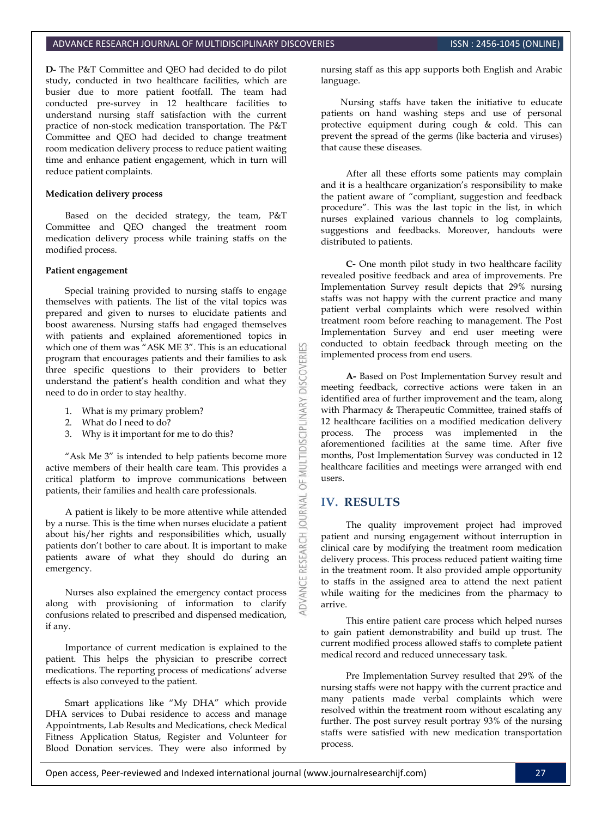#### ADVANCE RESEARCH JOURNAL OF MULTIDISCIPLINARY DISCOVERIES **INC. AND SEARCH ISSN : 2456-1045 (ONLINE**)

**D-** The P&T Committee and QEO had decided to do pilot study, conducted in two healthcare facilities, which are busier due to more patient footfall. The team had conducted pre-survey in 12 healthcare facilities to understand nursing staff satisfaction with the current practice of non-stock medication transportation. The P&T Committee and QEO had decided to change treatment room medication delivery process to reduce patient waiting time and enhance patient engagement, which in turn will reduce patient complaints.

#### **Medication delivery process**

Based on the decided strategy, the team, P&T Committee and QEO changed the treatment room medication delivery process while training staffs on the modified process.

#### **Patient engagement**

Special training provided to nursing staffs to engage themselves with patients. The list of the vital topics was prepared and given to nurses to elucidate patients and boost awareness. Nursing staffs had engaged themselves with patients and explained aforementioned topics in which one of them was "ASK ME 3". This is an educational program that encourages patients and their families to ask three specific questions to their providers to better understand the patient's health condition and what they need to do in order to stay healthy.

- 1. What is my primary problem?
- 2. What do I need to do?
- 3. Why is it important for me to do this?

"Ask Me 3" is intended to help patients become more active members of their health care team. This provides a critical platform to improve communications between patients, their families and health care professionals.

A patient is likely to be more attentive while attended by a nurse. This is the time when nurses elucidate a patient about his/her rights and responsibilities which, usually patients don't bother to care about. It is important to make patients aware of what they should do during an emergency.

Nurses also explained the emergency contact process along with provisioning of information to clarify confusions related to prescribed and dispensed medication, if any.

Importance of current medication is explained to the patient. This helps the physician to prescribe correct medications. The reporting process of medications' adverse effects is also conveyed to the patient.

Smart applications like "My DHA" which provide DHA services to Dubai residence to access and manage Appointments, Lab Results and Medications, check Medical Fitness Application Status, Register and Volunteer for Blood Donation services. They were also informed by nursing staff as this app supports both English and Arabic language.

Nursing staffs have taken the initiative to educate patients on hand washing steps and use of personal protective equipment during cough & cold. This can prevent the spread of the germs (like bacteria and viruses) that cause these diseases.

After all these efforts some patients may complain and it is a healthcare organization's responsibility to make the patient aware of "compliant, suggestion and feedback procedure". This was the last topic in the list, in which nurses explained various channels to log complaints, suggestions and feedbacks. Moreover, handouts were distributed to patients.

**C-** One month pilot study in two healthcare facility revealed positive feedback and area of improvements. Pre Implementation Survey result depicts that 29% nursing staffs was not happy with the current practice and many patient verbal complaints which were resolved within treatment room before reaching to management. The Post Implementation Survey and end user meeting were conducted to obtain feedback through meeting on the implemented process from end users.

**A-** Based on Post Implementation Survey result and meeting feedback, corrective actions were taken in an identified area of further improvement and the team, along with Pharmacy & Therapeutic Committee, trained staffs of 12 healthcare facilities on a modified medication delivery process. The process was implemented in the aforementioned facilities at the same time. After five months, Post Implementation Survey was conducted in 12 healthcare facilities and meetings were arranged with end users.

## **IV. RESULTS**

**DISCOVERI** 

**MULTIDISCIPLINARY** 

 $\overline{a}$ 

**RESEARCH** 

ADVANCE

The quality improvement project had improved patient and nursing engagement without interruption in clinical care by modifying the treatment room medication delivery process. This process reduced patient waiting time in the treatment room. It also provided ample opportunity to staffs in the assigned area to attend the next patient while waiting for the medicines from the pharmacy to arrive.

This entire patient care process which helped nurses to gain patient demonstrability and build up trust. The current modified process allowed staffs to complete patient medical record and reduced unnecessary task.

Pre Implementation Survey resulted that 29% of the nursing staffs were not happy with the current practice and many patients made verbal complaints which were resolved within the treatment room without escalating any further. The post survey result portray 93% of the nursing staffs were satisfied with new medication transportation process.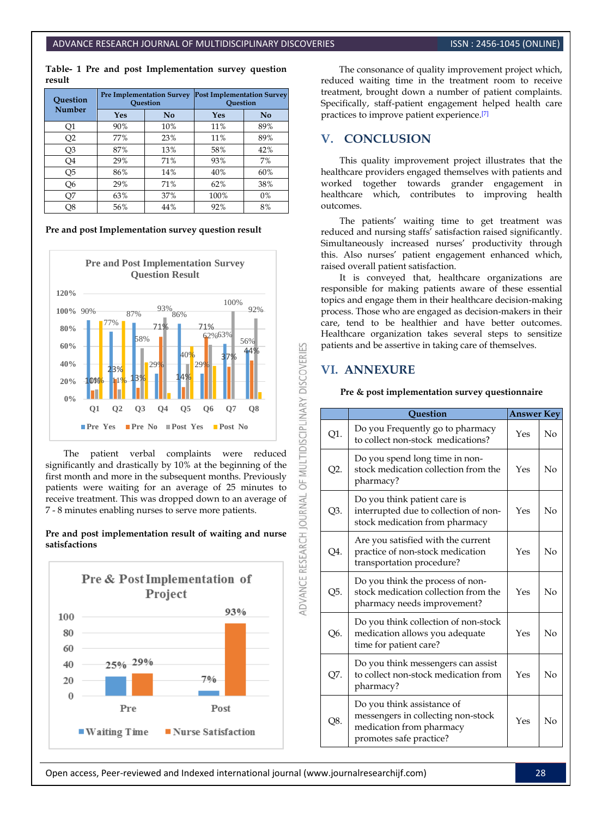**Table- 1 Pre and post Implementation survey question result**

| Ouestion<br><b>Number</b> | <b>Pre Implementation Survey</b><br>Question |     | <b>Post Implementation Survey</b><br>Ouestion |     |
|---------------------------|----------------------------------------------|-----|-----------------------------------------------|-----|
|                           | Yes                                          | No  | Yes                                           | No  |
| Q1                        | 90%                                          | 10% | 11%                                           | 89% |
| Q <sub>2</sub>            | 77%                                          | 23% | 11%                                           | 89% |
| Q3                        | 87%                                          | 13% | 58%                                           | 42% |
| Q4                        | 29%                                          | 71% | 93%                                           | 7%  |
| Q5                        | 86%                                          | 14% | 40%                                           | 60% |
| Q <sub>6</sub>            | 29%                                          | 71% | 62%                                           | 38% |
| Q7                        | 63%                                          | 37% | 100%                                          | 0%  |
| Q8                        | 56%                                          | 44% | 92%                                           | 8%  |

**Pre and post Implementation survey question result**



The patient verbal complaints were reduced significantly and drastically by 10% at the beginning of the first month and more in the subsequent months. Previously patients were waiting for an average of 25 minutes to receive treatment. This was dropped down to an average of 7 - 8 minutes enabling nurses to serve more patients.

**Pre and post implementation result of waiting and nurse satisfactions** 



The consonance of quality improvement project which, reduced waiting time in the treatment room to receive treatment, brought down a number of patient complaints. Specifically, staff-patient engagement helped health care practices to improve patient experience. [\[7\]](#page-4-6)

## **V. CONCLUSION**

This quality improvement project illustrates that the healthcare providers engaged themselves with patients and worked together towards grander engagement in healthcare which, contributes to improving health outcomes.

The patients' waiting time to get treatment was reduced and nursing staffs' satisfaction raised significantly. Simultaneously increased nurses' productivity through this. Also nurses' patient engagement enhanced which, raised overall patient satisfaction.

It is conveyed that, healthcare organizations are responsible for making patients aware of these essential topics and engage them in their healthcare decision-making process. Those who are engaged as decision-makers in their care, tend to be healthier and have better outcomes. Healthcare organization takes several steps to sensitize patients and be assertive in taking care of themselves.

## **VI. ANNEXURE**

K

MULTIDISCIPLINARY DISCOVERI

5F

**ADVANCE RESEARCH JOURNAL** 

**Pre & post implementation survey questionnaire**

|        | Ouestion                                                                                                                | <b>Answer Key</b> |    |
|--------|-------------------------------------------------------------------------------------------------------------------------|-------------------|----|
| Q1.    | Do you Frequently go to pharmacy<br>to collect non-stock medications?                                                   | Yes               | No |
| $Q2$ . | Do you spend long time in non-<br>stock medication collection from the<br>pharmacy?                                     | Yes               | No |
| Q3.    | Do you think patient care is<br>interrupted due to collection of non-<br>stock medication from pharmacy                 | Yes               | No |
| Q4.    | Are you satisfied with the current<br>practice of non-stock medication<br>transportation procedure?                     | Yes               | No |
| Q5.    | Do you think the process of non-<br>stock medication collection from the<br>pharmacy needs improvement?                 | Yes               | No |
| Q6.    | Do you think collection of non-stock<br>medication allows you adequate<br>time for patient care?                        | Yes               | No |
| Q7.    | Do you think messengers can assist<br>to collect non-stock medication from<br>pharmacy?                                 | Yes               | No |
| Q8.    | Do you think assistance of<br>messengers in collecting non-stock<br>medication from pharmacy<br>promotes safe practice? | Yes               | No |

Open access, Peer-reviewed and Indexed international journal (www.journalresearchijf.com) 28